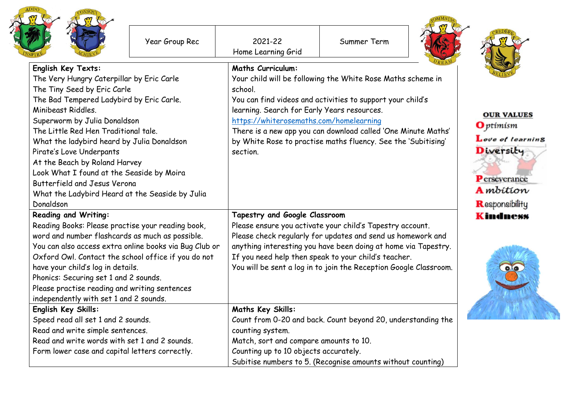|                                                                                                                                                                                                                                                                                                                                                                                                                                                                                                  | Year Group Rec | 2021-22<br>Home Learning Grid                                                                                                                                                                                                                                                                                                                            | Summer Term                                                                                                                                                                                                                                                 |                                                                                                                              |
|--------------------------------------------------------------------------------------------------------------------------------------------------------------------------------------------------------------------------------------------------------------------------------------------------------------------------------------------------------------------------------------------------------------------------------------------------------------------------------------------------|----------------|----------------------------------------------------------------------------------------------------------------------------------------------------------------------------------------------------------------------------------------------------------------------------------------------------------------------------------------------------------|-------------------------------------------------------------------------------------------------------------------------------------------------------------------------------------------------------------------------------------------------------------|------------------------------------------------------------------------------------------------------------------------------|
| English Key Texts:<br>The Very Hungry Caterpillar by Eric Carle<br>The Tiny Seed by Eric Carle<br>The Bad Tempered Ladybird by Eric Carle.<br>Minibeast Riddles.<br>Superworm by Julia Donaldson<br>The Little Red Hen Traditional tale.<br>What the ladybird heard by Julia Donaldson<br>Pirate's Love Underpants<br>At the Beach by Roland Harvey<br>Look What I found at the Seaside by Moira<br>Butterfield and Jesus Verona<br>What the Ladybird Heard at the Seaside by Julia<br>Donaldson |                | <b>Maths Curriculum:</b><br>school.<br>learning. Search for Early Years resources.<br>https://whiterosemaths.com/homelearning<br>section.                                                                                                                                                                                                                | Your child will be following the White Rose Maths scheme in<br>You can find videos and activities to support your child's<br>There is a new app you can download called 'One Minute Maths'<br>by White Rose to practise maths fluency. See the 'Subitising' | <b>OUR VALUES</b><br><b>O</b> ptimism<br>Love of learning<br>Diversity<br>Perseverance<br><b>A</b> mbition<br>Responsibility |
| <b>Reading and Writing:</b><br>Reading Books: Please practise your reading book,<br>word and number flashcards as much as possible.<br>You can also access extra online books via Bug Club or<br>Oxford Owl. Contact the school office if you do not<br>have your child's log in details.<br>Phonics: Securing set 1 and 2 sounds.<br>Please practise reading and writing sentences<br>independently with set 1 and 2 sounds.                                                                    |                | Tapestry and Google Classroom<br>Please ensure you activate your child's Tapestry account.<br>Please check regularly for updates and send us homework and<br>anything interesting you have been doing at home via Tapestry.<br>If you need help then speak to your child's teacher.<br>You will be sent a log in to join the Reception Google Classroom. |                                                                                                                                                                                                                                                             | <b>Kindness</b><br><b>OAO</b>                                                                                                |
| English Key Skills:<br>Speed read all set 1 and 2 sounds.<br>Read and write simple sentences.<br>Read and write words with set 1 and 2 sounds.<br>Form lower case and capital letters correctly.                                                                                                                                                                                                                                                                                                 |                | <b>Maths Key Skills:</b><br>Count from 0-20 and back. Count beyond 20, understanding the<br>counting system.<br>Match, sort and compare amounts to 10.<br>Counting up to 10 objects accurately.<br>Subitise numbers to 5. (Recognise amounts without counting)                                                                                           |                                                                                                                                                                                                                                                             |                                                                                                                              |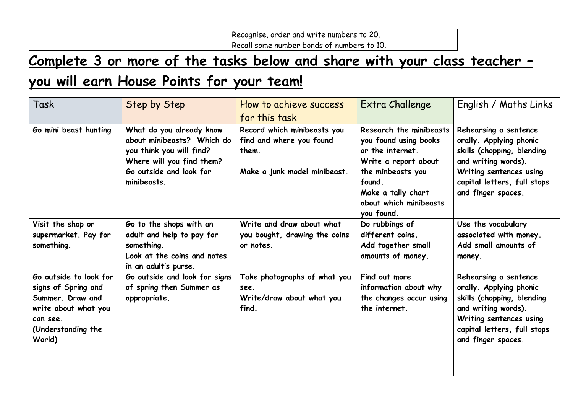Recognise, order and write numbers to 20. Recall some number bonds of numbers to 10.

## **Complete 3 or more of the tasks below and share with your class teacher – you will earn House Points for your team!**

| Task                                                                                                                                  | Step by Step                                                                                                                                              | How to achieve success<br>for this task                                                          | Extra Challenge                                                                                                                                                                           | English / Maths Links                                                                                                                                                                 |
|---------------------------------------------------------------------------------------------------------------------------------------|-----------------------------------------------------------------------------------------------------------------------------------------------------------|--------------------------------------------------------------------------------------------------|-------------------------------------------------------------------------------------------------------------------------------------------------------------------------------------------|---------------------------------------------------------------------------------------------------------------------------------------------------------------------------------------|
| Go mini beast hunting                                                                                                                 | What do you already know<br>about minibeasts? Which do<br>you think you will find?<br>Where will you find them?<br>Go outside and look for<br>minibeasts. | Record which minibeasts you<br>find and where you found<br>them.<br>Make a junk model minibeast. | Research the minibeasts<br>you found using books<br>or the internet.<br>Write a report about<br>the minbeasts you<br>found.<br>Make a tally chart<br>about which minibeasts<br>you found. | Rehearsing a sentence<br>orally. Applying phonic<br>skills (chopping, blending<br>and writing words).<br>Writing sentences using<br>capital letters, full stops<br>and finger spaces. |
| Visit the shop or<br>supermarket. Pay for<br>something.                                                                               | Go to the shops with an<br>adult and help to pay for<br>something.<br>Look at the coins and notes<br>in an adult's purse.                                 | Write and draw about what<br>you bought, drawing the coins<br>or notes.                          | Do rubbings of<br>different coins.<br>Add together small<br>amounts of money.                                                                                                             | Use the vocabulary<br>associated with money.<br>Add small amounts of<br>money.                                                                                                        |
| Go outside to look for<br>signs of Spring and<br>Summer. Draw and<br>write about what you<br>can see.<br>(Understanding the<br>World) | Go outside and look for signs<br>of spring then Summer as<br>appropriate.                                                                                 | Take photographs of what you<br>see.<br>Write/draw about what you<br>find.                       | Find out more<br>information about why<br>the changes occur using<br>the internet.                                                                                                        | Rehearsing a sentence<br>orally. Applying phonic<br>skills (chopping, blending<br>and writing words).<br>Writing sentences using<br>capital letters, full stops<br>and finger spaces. |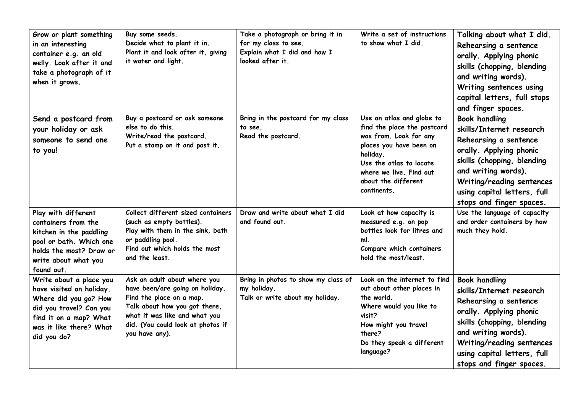| Grow or plant something<br>in an interesting<br>container e.g. an old<br>welly. Look after it and<br>take a photograph of it<br>when it grows.                              | Buy some seeds.<br>Decide what to plant it in.<br>Plant it and look after it, giving<br>it water and light.                                                                                                          | Take a photograph or bring it in<br>for my class to see.<br>Explain what I did and how I<br>looked after it. | Write a set of instructions<br>to show what I did.                                                                                                                                                                    | Talking about what I did.<br>Rehearsing a sentence<br>orally. Applying phonic<br>skills (chopping, blending<br>and writing words).<br>Writing sentences using<br>capital letters, full stops<br>and finger spaces.                                       |
|-----------------------------------------------------------------------------------------------------------------------------------------------------------------------------|----------------------------------------------------------------------------------------------------------------------------------------------------------------------------------------------------------------------|--------------------------------------------------------------------------------------------------------------|-----------------------------------------------------------------------------------------------------------------------------------------------------------------------------------------------------------------------|----------------------------------------------------------------------------------------------------------------------------------------------------------------------------------------------------------------------------------------------------------|
| Send a postcard from<br>your holiday or ask<br>someone to send one<br>to you!                                                                                               | Buy a postcard or ask someone<br>else to do this.<br>Write/read the postcard.<br>Put a stamp on it and post it.                                                                                                      | Bring in the postcard for my class<br>to see.<br>Read the postcard.                                          | Use an atlas and globe to<br>find the place the postcard<br>was from. Look for any<br>places you have been on<br>holiday.<br>Use the atlas to locate<br>where we live. Find out<br>about the different<br>continents. | <b>Book handling</b><br>skills/Internet research<br>Rehearsing a sentence<br>orally. Applying phonic<br>skills (chopping, blending<br>and writing words).<br><b>Writing/reading sentences</b><br>using capital letters, full<br>stops and finger spaces. |
| Play with different<br>containers from the<br>kitchen in the paddling<br>pool or bath. Which one<br>holds the most? Draw or<br>write about what you<br>found out.           | Collect different sized containers<br>(such as empty bottles).<br>Play with them in the sink, bath<br>or paddling pool.<br>Find out which holds the most<br>and the least.                                           | Draw and write about what I did<br>and found out.                                                            | Look at how capacity is<br>measured e.g. on pop<br>bottles look for litres and<br>ml.<br>Compare which containers<br>hold the most/least.                                                                             | Use the language of capacity<br>and order containers by how<br>much they hold.                                                                                                                                                                           |
| Write about a place you<br>have visited on holiday.<br>Where did you go? How<br>did you travel? Can you<br>find it on a map? What<br>was it like there? What<br>did you do? | Ask an adult about where you<br>have been/are going on holiday.<br>Find the place on a map.<br>Talk about how you got there,<br>what it was like and what you<br>did. (You could look at photos if<br>you have any). | Bring in photos to show my class of<br>my holiday.<br>Talk or write about my holiday.                        | Look on the internet to find<br>out about other places in<br>the world.<br>Where would you like to<br>visit?<br>How might you travel<br>there?<br>Do they speak a different<br>language?                              | <b>Book handling</b><br>skills/Internet research<br>Rehearsing a sentence<br>orally. Applying phonic<br>skills (chopping, blending<br>and writing words).<br><b>Writing/reading sentences</b><br>using capital letters, full<br>stops and finger spaces. |